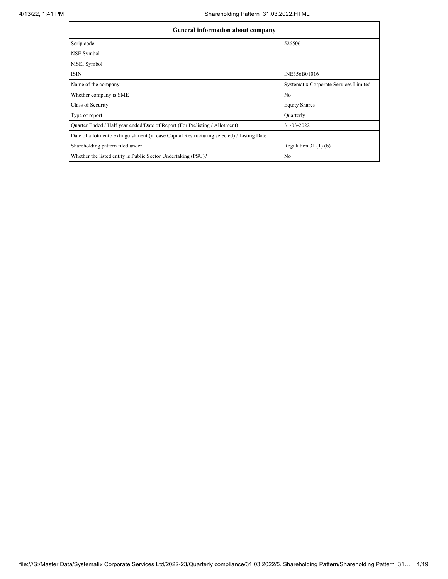| <b>General information about company</b>                                                   |                                       |  |  |  |  |  |  |
|--------------------------------------------------------------------------------------------|---------------------------------------|--|--|--|--|--|--|
| Scrip code                                                                                 | 526506                                |  |  |  |  |  |  |
| NSE Symbol                                                                                 |                                       |  |  |  |  |  |  |
| <b>MSEI</b> Symbol                                                                         |                                       |  |  |  |  |  |  |
| <b>ISIN</b>                                                                                | INE356B01016                          |  |  |  |  |  |  |
| Name of the company                                                                        | Systematix Corporate Services Limited |  |  |  |  |  |  |
| Whether company is SME                                                                     | N <sub>0</sub>                        |  |  |  |  |  |  |
| Class of Security                                                                          | <b>Equity Shares</b>                  |  |  |  |  |  |  |
| Type of report                                                                             | Ouarterly                             |  |  |  |  |  |  |
| Quarter Ended / Half year ended/Date of Report (For Prelisting / Allotment)                | 31-03-2022                            |  |  |  |  |  |  |
| Date of allotment / extinguishment (in case Capital Restructuring selected) / Listing Date |                                       |  |  |  |  |  |  |
| Shareholding pattern filed under                                                           | Regulation $31(1)(b)$                 |  |  |  |  |  |  |
| Whether the listed entity is Public Sector Undertaking (PSU)?                              | N <sub>0</sub>                        |  |  |  |  |  |  |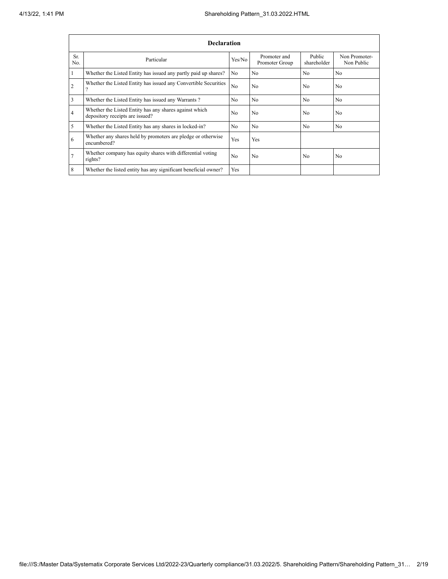|                | <b>Declaration</b>                                                                        |                |                                |                       |                             |  |  |  |  |  |
|----------------|-------------------------------------------------------------------------------------------|----------------|--------------------------------|-----------------------|-----------------------------|--|--|--|--|--|
| Sr.<br>No.     | Particular                                                                                | Yes/No         | Promoter and<br>Promoter Group | Public<br>shareholder | Non Promoter-<br>Non Public |  |  |  |  |  |
| 1              | Whether the Listed Entity has issued any partly paid up shares?                           | N <sub>0</sub> | N <sub>0</sub>                 | N <sub>0</sub>        | N <sub>0</sub>              |  |  |  |  |  |
| $\overline{2}$ | Whether the Listed Entity has issued any Convertible Securities<br>$\Omega$               | N <sub>0</sub> | N <sub>0</sub>                 | N <sub>0</sub>        | N <sub>0</sub>              |  |  |  |  |  |
| $\overline{3}$ | Whether the Listed Entity has issued any Warrants?                                        | N <sub>0</sub> | N <sub>0</sub>                 | N <sub>0</sub>        | N <sub>0</sub>              |  |  |  |  |  |
| $\overline{4}$ | Whether the Listed Entity has any shares against which<br>depository receipts are issued? | N <sub>0</sub> | N <sub>0</sub>                 | N <sub>0</sub>        | N <sub>0</sub>              |  |  |  |  |  |
| 5              | Whether the Listed Entity has any shares in locked-in?                                    | N <sub>0</sub> | N <sub>0</sub>                 | N <sub>0</sub>        | N <sub>0</sub>              |  |  |  |  |  |
| 6              | Whether any shares held by promoters are pledge or otherwise<br>encumbered?               | Yes            | Yes                            |                       |                             |  |  |  |  |  |
| $\overline{7}$ | Whether company has equity shares with differential voting<br>rights?                     | N <sub>0</sub> | N <sub>0</sub>                 | N <sub>0</sub>        | N <sub>0</sub>              |  |  |  |  |  |
| 8              | Whether the listed entity has any significant beneficial owner?                           | Yes            |                                |                       |                             |  |  |  |  |  |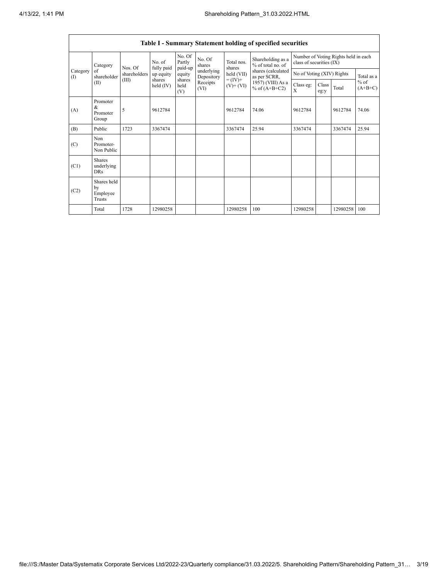|                 | Table I - Summary Statement holding of specified securities                                                         |                                      |                           |                             |                          |                                    |                                        |                                                                  |  |          |            |
|-----------------|---------------------------------------------------------------------------------------------------------------------|--------------------------------------|---------------------------|-----------------------------|--------------------------|------------------------------------|----------------------------------------|------------------------------------------------------------------|--|----------|------------|
|                 | Category                                                                                                            | Nos. Of                              | No. of<br>fully paid      | No. Of<br>Partly<br>paid-up | No. Of<br>shares         | Total nos.<br>shares<br>held (VII) | Shareholding as a<br>% of total no. of | Number of Voting Rights held in each<br>class of securities (IX) |  |          |            |
| Category<br>(1) | of<br>shareholder                                                                                                   | shareholders                         | up equity                 | equity                      | underlying<br>Depository |                                    | shares (calculated<br>as per SCRR,     | No of Voting (XIV) Rights                                        |  |          | Total as a |
|                 | $= (IV) +$<br>(III)<br>shares<br>shares<br>Receipts<br>(II)<br>held $(IV)$<br>held<br>$(V)$ + $(VI)$<br>(VI)<br>(V) | 1957) (VIII) As a<br>% of $(A+B+C2)$ | Class eg:<br>$\mathbf{x}$ | Class<br>eg:y               | Total                    | $%$ of<br>$(A+B+C)$                |                                        |                                                                  |  |          |            |
| (A)             | Promoter<br>$\&$<br>Promoter<br>Group                                                                               | 5                                    | 9612784                   |                             |                          | 9612784                            | 74.06                                  | 9612784                                                          |  | 9612784  | 74.06      |
| (B)             | Public                                                                                                              | 1723                                 | 3367474                   |                             |                          | 3367474                            | 25.94                                  | 3367474                                                          |  | 3367474  | 25.94      |
| (C)             | Non<br>Promoter-<br>Non Public                                                                                      |                                      |                           |                             |                          |                                    |                                        |                                                                  |  |          |            |
| (C1)            | <b>Shares</b><br>underlying<br><b>DRs</b>                                                                           |                                      |                           |                             |                          |                                    |                                        |                                                                  |  |          |            |
| (C2)            | Shares held<br>by<br>Employee<br>Trusts                                                                             |                                      |                           |                             |                          |                                    |                                        |                                                                  |  |          |            |
|                 | Total                                                                                                               | 1728                                 | 12980258                  |                             |                          | 12980258                           | 100                                    | 12980258                                                         |  | 12980258 | 100        |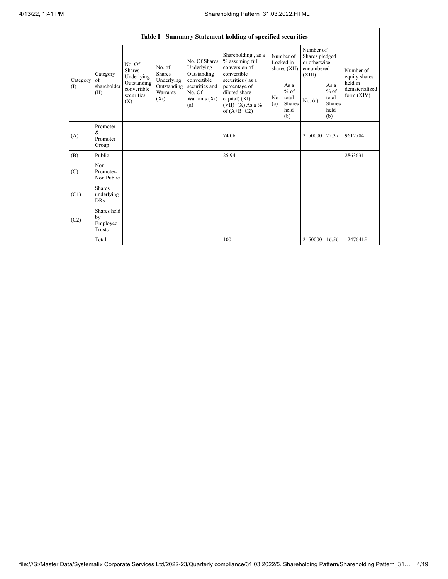|               | Table I - Summary Statement holding of specified securities |                                                 |                                                  |                                                                 |                                                                                                                                                                                         |                                          |                                                           |                                                                     |                                                          |                                           |
|---------------|-------------------------------------------------------------|-------------------------------------------------|--------------------------------------------------|-----------------------------------------------------------------|-----------------------------------------------------------------------------------------------------------------------------------------------------------------------------------------|------------------------------------------|-----------------------------------------------------------|---------------------------------------------------------------------|----------------------------------------------------------|-------------------------------------------|
|               | Category<br>of                                              | No. Of<br><b>Shares</b><br>Underlying           | No. of<br><b>Shares</b>                          | No. Of Shares<br>Underlying<br>Outstanding                      | Shareholding, as a<br>% assuming full<br>conversion of<br>convertible<br>securities (as a<br>percentage of<br>diluted share<br>capital) $(XI)$ =<br>$(VII)+(X)$ As a %<br>of $(A+B+C2)$ | Number of<br>Locked in<br>shares $(XII)$ |                                                           | Number of<br>Shares pledged<br>or otherwise<br>encumbered<br>(XIII) |                                                          | Number of<br>equity shares                |
| Category<br>( | shareholder<br>(II)                                         | Outstanding<br>convertible<br>securities<br>(X) | Underlying<br>Outstanding<br>Warrants<br>$(X_i)$ | convertible<br>securities and<br>No. Of<br>Warrants (Xi)<br>(a) |                                                                                                                                                                                         | No.<br>(a)                               | As $a$<br>$%$ of<br>total<br><b>Shares</b><br>held<br>(b) | No. (a)                                                             | As a<br>$\%$ of<br>total<br><b>Shares</b><br>held<br>(b) | held in<br>dematerialized<br>form $(XIV)$ |
| (A)           | Promoter<br>&<br>Promoter<br>Group                          |                                                 |                                                  |                                                                 | 74.06                                                                                                                                                                                   |                                          |                                                           | 2150000 22.37                                                       |                                                          | 9612784                                   |
| (B)           | Public                                                      |                                                 |                                                  |                                                                 | 25.94                                                                                                                                                                                   |                                          |                                                           |                                                                     |                                                          | 2863631                                   |
| (C)           | Non<br>Promoter-<br>Non Public                              |                                                 |                                                  |                                                                 |                                                                                                                                                                                         |                                          |                                                           |                                                                     |                                                          |                                           |
| (C1)          | <b>Shares</b><br>underlying<br><b>DRs</b>                   |                                                 |                                                  |                                                                 |                                                                                                                                                                                         |                                          |                                                           |                                                                     |                                                          |                                           |
| (C2)          | Shares held<br>by<br>Employee<br>Trusts                     |                                                 |                                                  |                                                                 |                                                                                                                                                                                         |                                          |                                                           |                                                                     |                                                          |                                           |
|               | Total                                                       |                                                 |                                                  |                                                                 | 100                                                                                                                                                                                     |                                          |                                                           | 2150000                                                             | 16.56                                                    | 12476415                                  |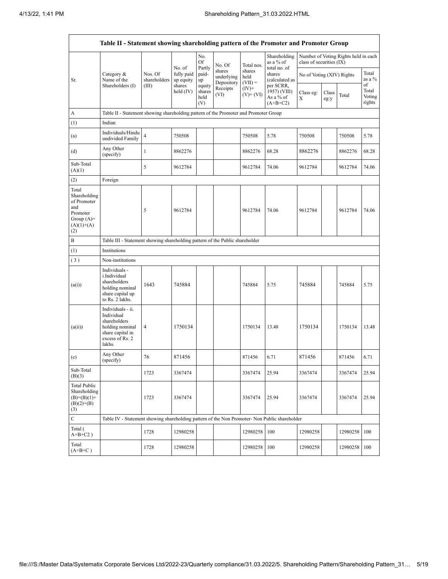|                                                                                                 | Table II - Statement showing shareholding pattern of the Promoter and Promoter Group                                |                         |                                   |                                 |                                    |                             |                                                                                  |                                                                  |               |                 |                                 |
|-------------------------------------------------------------------------------------------------|---------------------------------------------------------------------------------------------------------------------|-------------------------|-----------------------------------|---------------------------------|------------------------------------|-----------------------------|----------------------------------------------------------------------------------|------------------------------------------------------------------|---------------|-----------------|---------------------------------|
|                                                                                                 |                                                                                                                     |                         |                                   | No.<br>Of                       | No. Of                             | Total nos.                  | Shareholding<br>as a % of<br>total no. of                                        | Number of Voting Rights held in each<br>class of securities (IX) |               |                 |                                 |
| Sr.                                                                                             | Category $\&$<br>Name of the                                                                                        | Nos. Of<br>shareholders | No. of<br>fully paid<br>up equity | Partly<br>paid-<br>up           | shares<br>underlying<br>Depository | shares<br>held<br>$(VII) =$ | shares<br>(calculated as<br>per SCRR,<br>1957) (VIII)<br>As a % of<br>$(A+B+C2)$ | No of Voting (XIV) Rights                                        |               | Total<br>as a % |                                 |
|                                                                                                 | Shareholders (I)                                                                                                    | (III)                   | shares<br>held $(IV)$             | equity<br>shares<br>held<br>(V) | Receipts<br>(VI)                   | $(IV)+$<br>$(V)$ + $(V)$    |                                                                                  | Class eg:<br>X                                                   | Class<br>eg:y | Total           | of<br>Total<br>Voting<br>rights |
| A                                                                                               | Table II - Statement showing shareholding pattern of the Promoter and Promoter Group                                |                         |                                   |                                 |                                    |                             |                                                                                  |                                                                  |               |                 |                                 |
| (1)                                                                                             | Indian                                                                                                              |                         |                                   |                                 |                                    |                             |                                                                                  |                                                                  |               |                 |                                 |
| (a)                                                                                             | Individuals/Hindu<br>undivided Family                                                                               | $\overline{4}$          | 750508                            |                                 |                                    | 750508                      | 5.78                                                                             | 750508                                                           |               | 750508          | 5.78                            |
| (d)                                                                                             | Any Other<br>(specify)                                                                                              | $\mathbf{1}$            | 8862276                           |                                 |                                    | 8862276                     | 68.28                                                                            | 8862276                                                          |               | 8862276         | 68.28                           |
| Sub-Total<br>(A)(1)                                                                             |                                                                                                                     | 5                       | 9612784                           |                                 |                                    | 9612784                     | 74.06                                                                            | 9612784                                                          |               | 9612784         | 74.06                           |
| (2)                                                                                             | Foreign                                                                                                             |                         |                                   |                                 |                                    |                             |                                                                                  |                                                                  |               |                 |                                 |
| Total<br>Shareholding<br>of Promoter<br>and<br>Promoter<br>Group $(A)$ =<br>$(A)(1)+(A)$<br>(2) |                                                                                                                     | 5                       | 9612784                           |                                 |                                    | 9612784                     | 74.06                                                                            | 9612784                                                          |               | 9612784         | 74.06                           |
| B                                                                                               | Table III - Statement showing shareholding pattern of the Public shareholder                                        |                         |                                   |                                 |                                    |                             |                                                                                  |                                                                  |               |                 |                                 |
| (1)                                                                                             | Institutions                                                                                                        |                         |                                   |                                 |                                    |                             |                                                                                  |                                                                  |               |                 |                                 |
| (3)                                                                                             | Non-institutions                                                                                                    |                         |                                   |                                 |                                    |                             |                                                                                  |                                                                  |               |                 |                                 |
| (a(i))                                                                                          | Individuals -<br>i.Individual<br>shareholders<br>holding nominal<br>share capital up<br>to Rs. 2 lakhs.             | 1643                    | 745884                            |                                 |                                    | 745884                      | 5.75                                                                             | 745884                                                           |               | 745884          | 5.75                            |
| (a(ii))                                                                                         | Individuals - ii.<br>Individual<br>shareholders<br>holding nominal<br>share capital in<br>excess of Rs. 2<br>lakhs. | 4                       | 1750134                           |                                 |                                    | 1750134                     | 13.48                                                                            | 1750134                                                          |               | 1750134         | 13.48                           |
| (e)                                                                                             | Any Other<br>(specify)                                                                                              | 76                      | 871456                            |                                 |                                    | 871456                      | 6.71                                                                             | 871456                                                           |               | 871456          | 6.71                            |
| Sub-Total<br>(B)(3)                                                                             |                                                                                                                     | 1723                    | 3367474                           |                                 |                                    | 3367474                     | 25.94                                                                            | 3367474                                                          |               | 3367474         | 25.94                           |
| <b>Total Public</b><br>Shareholding<br>$(B)= (B)(1) +$<br>$(B)(2)+(B)$<br>(3)                   |                                                                                                                     | 1723                    | 3367474                           |                                 |                                    | 3367474                     | 25.94                                                                            | 3367474                                                          |               | 3367474         | 25.94                           |
| $\mathbf C$                                                                                     | Table IV - Statement showing shareholding pattern of the Non Promoter- Non Public shareholder                       |                         |                                   |                                 |                                    |                             |                                                                                  |                                                                  |               |                 |                                 |
| Total (<br>$A+B+C2$ )                                                                           |                                                                                                                     | 1728                    | 12980258                          |                                 |                                    | 12980258                    | 100                                                                              | 12980258                                                         |               | 12980258        | 100                             |
| Total<br>$(A+B+C)$                                                                              |                                                                                                                     | 1728                    | 12980258                          |                                 |                                    | 12980258                    | 100                                                                              | 12980258                                                         |               | 12980258        | 100                             |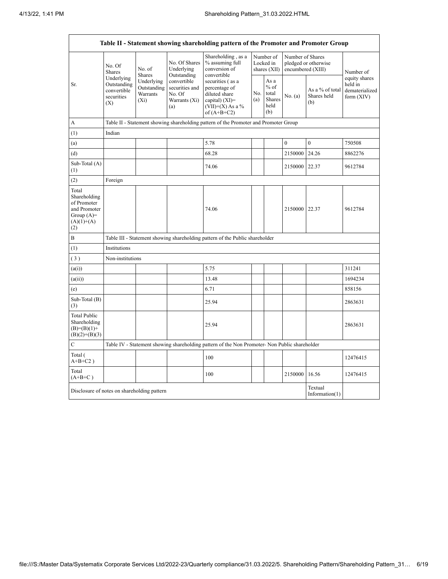$\mathbf{r}$ 

|                                                                                             | Table II - Statement showing shareholding pattern of the Promoter and Promoter Group |                                                  |                                                                 |                                                                                                                |            |                                                  |                                       |                                       |                                                          |
|---------------------------------------------------------------------------------------------|--------------------------------------------------------------------------------------|--------------------------------------------------|-----------------------------------------------------------------|----------------------------------------------------------------------------------------------------------------|------------|--------------------------------------------------|---------------------------------------|---------------------------------------|----------------------------------------------------------|
|                                                                                             | No. Of<br><b>Shares</b>                                                              | No. of<br><b>Shares</b>                          | No. Of Shares<br>Underlying<br>Outstanding                      | Shareholding, as a<br>% assuming full<br>conversion of<br>convertible                                          |            | Number of<br>Locked in<br>shares $(XII)$         | Number of Shares<br>encumbered (XIII) | pledged or otherwise                  | Number of                                                |
| Sr.                                                                                         | Underlying<br>Outstanding<br>convertible<br>securities<br>(X)                        | Underlying<br>Outstanding<br>Warrants<br>$(X_i)$ | convertible<br>securities and<br>No. Of<br>Warrants (Xi)<br>(a) | securities (as a<br>percentage of<br>diluted share<br>capital) $(XI)$ =<br>$(VII)+(X)$ As a %<br>of $(A+B+C2)$ | No.<br>(a) | As a<br>$%$ of<br>total<br>Shares<br>held<br>(b) | No. (a)                               | As a % of total<br>Shares held<br>(b) | equity shares<br>held in<br>dematerialized<br>form (XIV) |
| A                                                                                           |                                                                                      |                                                  |                                                                 | Table II - Statement showing shareholding pattern of the Promoter and Promoter Group                           |            |                                                  |                                       |                                       |                                                          |
| (1)                                                                                         | Indian                                                                               |                                                  |                                                                 |                                                                                                                |            |                                                  |                                       |                                       |                                                          |
| (a)                                                                                         |                                                                                      |                                                  |                                                                 | 5.78                                                                                                           |            |                                                  | $\overline{0}$                        | $\overline{0}$                        | 750508                                                   |
| (d)                                                                                         |                                                                                      |                                                  |                                                                 | 68.28                                                                                                          |            |                                                  | 2150000                               | 24.26                                 | 8862276                                                  |
| Sub-Total (A)<br>(1)                                                                        |                                                                                      |                                                  |                                                                 | 74.06                                                                                                          |            |                                                  | 2150000                               | 22.37                                 | 9612784                                                  |
| (2)                                                                                         | Foreign                                                                              |                                                  |                                                                 |                                                                                                                |            |                                                  |                                       |                                       |                                                          |
| Total<br>Shareholding<br>of Promoter<br>and Promoter<br>Group $(A)=$<br>$(A)(1)+(A)$<br>(2) |                                                                                      |                                                  |                                                                 | 74.06                                                                                                          |            |                                                  | 2150000 22.37                         |                                       | 9612784                                                  |
| B                                                                                           |                                                                                      |                                                  |                                                                 | Table III - Statement showing shareholding pattern of the Public shareholder                                   |            |                                                  |                                       |                                       |                                                          |
| (1)                                                                                         | Institutions                                                                         |                                                  |                                                                 |                                                                                                                |            |                                                  |                                       |                                       |                                                          |
| (3)                                                                                         | Non-institutions                                                                     |                                                  |                                                                 |                                                                                                                |            |                                                  |                                       |                                       |                                                          |
| (a(i))                                                                                      |                                                                                      |                                                  |                                                                 | 5.75                                                                                                           |            |                                                  |                                       |                                       | 311241                                                   |
| (a(ii))                                                                                     |                                                                                      |                                                  |                                                                 | 13.48                                                                                                          |            |                                                  |                                       |                                       | 1694234                                                  |
| (e)                                                                                         |                                                                                      |                                                  |                                                                 | 6.71                                                                                                           |            |                                                  |                                       |                                       | 858156                                                   |
| Sub-Total (B)<br>(3)                                                                        |                                                                                      |                                                  |                                                                 | 25.94                                                                                                          |            |                                                  |                                       |                                       | 2863631                                                  |
| <b>Total Public</b><br>Shareholding<br>$(B)=(B)(1)+$<br>$(B)(2)+(B)(3)$                     |                                                                                      |                                                  |                                                                 | 25.94                                                                                                          |            |                                                  |                                       |                                       | 2863631                                                  |
| C                                                                                           |                                                                                      |                                                  |                                                                 | Table IV - Statement showing shareholding pattern of the Non Promoter- Non Public shareholder                  |            |                                                  |                                       |                                       |                                                          |
| Total (<br>$A+B+C2$ )                                                                       |                                                                                      |                                                  |                                                                 | 100                                                                                                            |            |                                                  |                                       |                                       | 12476415                                                 |
| Total<br>$(A+B+C)$                                                                          |                                                                                      |                                                  |                                                                 | 100                                                                                                            |            |                                                  | 2150000                               | 16.56                                 | 12476415                                                 |
|                                                                                             | Textual<br>Disclosure of notes on shareholding pattern<br>Information $(1)$          |                                                  |                                                                 |                                                                                                                |            |                                                  |                                       |                                       |                                                          |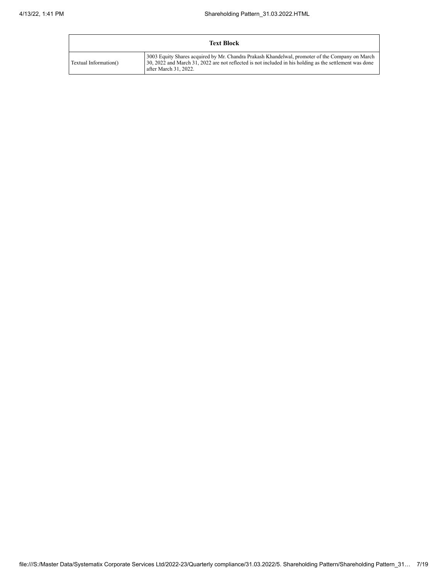| <b>Text Block</b>     |                                                                                                                                                                                                                                     |  |  |  |  |  |
|-----------------------|-------------------------------------------------------------------------------------------------------------------------------------------------------------------------------------------------------------------------------------|--|--|--|--|--|
| Textual Information() | 3003 Equity Shares acquired by Mr. Chandra Prakash Khandelwal, promoter of the Company on March<br>30, 2022 and March 31, 2022 are not reflected is not included in his holding as the settlement was done<br>after March 31, 2022. |  |  |  |  |  |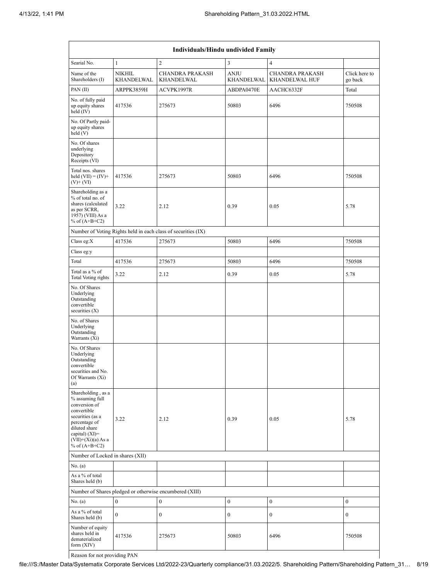|                                                                                                                                                                                            | Individuals/Hindu undivided Family |                                                               |                           |                                          |                          |  |  |  |
|--------------------------------------------------------------------------------------------------------------------------------------------------------------------------------------------|------------------------------------|---------------------------------------------------------------|---------------------------|------------------------------------------|--------------------------|--|--|--|
| Searial No.                                                                                                                                                                                | $\mathbf{1}$                       | $\overline{2}$                                                | $\mathfrak{Z}$            | $\overline{4}$                           |                          |  |  |  |
| Name of the<br>Shareholders (I)                                                                                                                                                            | <b>NIKHIL</b><br><b>KHANDELWAL</b> | <b>CHANDRA PRAKASH</b><br><b>KHANDELWAL</b>                   | <b>ANJU</b><br>KHANDELWAL | <b>CHANDRA PRAKASH</b><br>KHANDELWAL HUF | Click here to<br>go back |  |  |  |
| PAN (II)                                                                                                                                                                                   | ARPPK3859H                         | ACVPK1997R                                                    | ABDPA0470E                | AACHC6332F                               | Total                    |  |  |  |
| No. of fully paid<br>up equity shares<br>held (IV)                                                                                                                                         | 417536                             | 275673                                                        | 50803                     | 6496                                     | 750508                   |  |  |  |
| No. Of Partly paid-<br>up equity shares<br>held(V)                                                                                                                                         |                                    |                                                               |                           |                                          |                          |  |  |  |
| No. Of shares<br>underlying<br>Depository<br>Receipts (VI)                                                                                                                                 |                                    |                                                               |                           |                                          |                          |  |  |  |
| Total nos. shares<br>held $(VII) = (IV) +$<br>$(V)$ + $(VI)$                                                                                                                               | 417536                             | 275673                                                        | 50803                     | 6496                                     | 750508                   |  |  |  |
| Shareholding as a<br>% of total no. of<br>shares (calculated<br>as per SCRR,<br>1957) (VIII) As a<br>% of $(A+B+C2)$                                                                       | 3.22                               | 2.12                                                          | 0.39                      | 0.05                                     | 5.78                     |  |  |  |
|                                                                                                                                                                                            |                                    | Number of Voting Rights held in each class of securities (IX) |                           |                                          |                          |  |  |  |
| Class eg:X                                                                                                                                                                                 | 417536                             | 275673                                                        | 50803                     | 6496                                     | 750508                   |  |  |  |
| Class eg:y                                                                                                                                                                                 |                                    |                                                               |                           |                                          |                          |  |  |  |
| Total                                                                                                                                                                                      | 417536                             | 275673                                                        | 50803                     | 6496                                     | 750508                   |  |  |  |
| Total as a % of<br><b>Total Voting rights</b>                                                                                                                                              | 3.22                               | 2.12                                                          | 0.39                      | 0.05                                     | 5.78                     |  |  |  |
| No. Of Shares<br>Underlying<br>Outstanding<br>convertible<br>securities $(X)$                                                                                                              |                                    |                                                               |                           |                                          |                          |  |  |  |
| No. of Shares<br>Underlying<br>Outstanding<br>Warrants (Xi)                                                                                                                                |                                    |                                                               |                           |                                          |                          |  |  |  |
| No. Of Shares<br>Underlying<br>Outstanding<br>convertible<br>securities and No.<br>Of Warrants (Xi)<br>(a)                                                                                 |                                    |                                                               |                           |                                          |                          |  |  |  |
| Shareholding, as a<br>% assuming full<br>conversion of<br>convertible<br>securities (as a<br>percentage of<br>diluted share<br>capital) $(XI)=$<br>$(VII)+(Xi)(a)$ As a<br>% of $(A+B+C2)$ | 3.22                               | 2.12                                                          | 0.39                      | 0.05                                     | 5.78                     |  |  |  |
| Number of Locked in shares (XII)                                                                                                                                                           |                                    |                                                               |                           |                                          |                          |  |  |  |
| No. (a)                                                                                                                                                                                    |                                    |                                                               |                           |                                          |                          |  |  |  |
| As a % of total<br>Shares held (b)                                                                                                                                                         |                                    |                                                               |                           |                                          |                          |  |  |  |
|                                                                                                                                                                                            |                                    | Number of Shares pledged or otherwise encumbered (XIII)       |                           |                                          |                          |  |  |  |
| No. (a)                                                                                                                                                                                    | $\mathbf{0}$                       | $\bf{0}$                                                      | $\boldsymbol{0}$          | $\boldsymbol{0}$                         | $\boldsymbol{0}$         |  |  |  |
| As a % of total<br>Shares held (b)                                                                                                                                                         | $\Omega$                           | $\mathbf{0}$                                                  | 0                         | $\boldsymbol{0}$                         | $\mathbf{0}$             |  |  |  |
| Number of equity<br>shares held in<br>dematerialized<br>form (XIV)                                                                                                                         | 417536                             | 275673                                                        | 50803                     | 6496                                     | 750508                   |  |  |  |
| Reason for not providing PAN                                                                                                                                                               |                                    |                                                               |                           |                                          |                          |  |  |  |

Reason for not providing PAN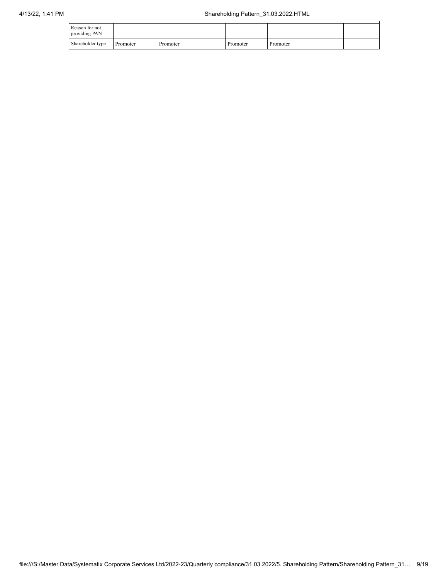| Reason for not<br>providing PAN |          |          |          |          |  |
|---------------------------------|----------|----------|----------|----------|--|
| Shareholder type                | Promoter | Promoter | Promoter | Promoter |  |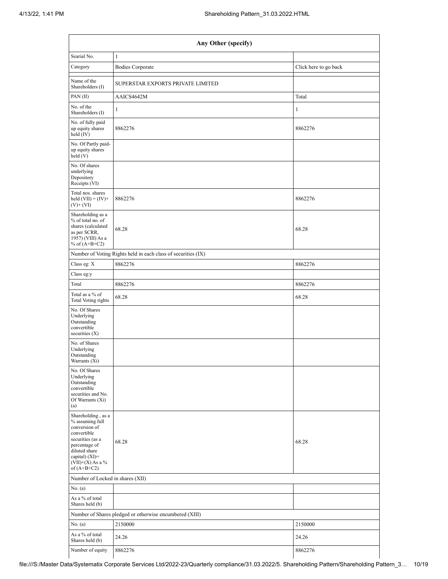| Any Other (specify)                                                                                                                                                                    |                                                               |                       |  |  |  |  |  |
|----------------------------------------------------------------------------------------------------------------------------------------------------------------------------------------|---------------------------------------------------------------|-----------------------|--|--|--|--|--|
| Searial No.                                                                                                                                                                            | $\mathbf{1}$                                                  |                       |  |  |  |  |  |
| Category                                                                                                                                                                               | <b>Bodies Corporate</b>                                       | Click here to go back |  |  |  |  |  |
| Name of the<br>Shareholders (I)                                                                                                                                                        | SUPERSTAR EXPORTS PRIVATE LIMITED                             |                       |  |  |  |  |  |
| PAN (II)                                                                                                                                                                               | AAICS4642M                                                    | Total                 |  |  |  |  |  |
| No. of the<br>Shareholders (I)                                                                                                                                                         | 1                                                             | 1                     |  |  |  |  |  |
| No. of fully paid<br>up equity shares<br>held $(IV)$                                                                                                                                   | 8862276                                                       | 8862276               |  |  |  |  |  |
| No. Of Partly paid-<br>up equity shares<br>held(V)                                                                                                                                     |                                                               |                       |  |  |  |  |  |
| No. Of shares<br>underlying<br>Depository<br>Receipts (VI)                                                                                                                             |                                                               |                       |  |  |  |  |  |
| Total nos. shares<br>held $(VII) = (IV) +$<br>$(V)$ + $(VI)$                                                                                                                           | 8862276                                                       | 8862276               |  |  |  |  |  |
| Shareholding as a<br>% of total no. of<br>shares (calculated<br>as per SCRR,<br>1957) (VIII) As a<br>% of $(A+B+C2)$                                                                   | 68.28                                                         | 68.28                 |  |  |  |  |  |
|                                                                                                                                                                                        | Number of Voting Rights held in each class of securities (IX) |                       |  |  |  |  |  |
| Class eg: X                                                                                                                                                                            | 8862276                                                       | 8862276               |  |  |  |  |  |
| Class eg:y                                                                                                                                                                             |                                                               |                       |  |  |  |  |  |
| Total                                                                                                                                                                                  | 8862276                                                       | 8862276               |  |  |  |  |  |
| Total as a % of<br><b>Total Voting rights</b>                                                                                                                                          | 68.28                                                         | 68.28                 |  |  |  |  |  |
| No. Of Shares<br>Underlying<br>Outstanding<br>convertible<br>securities (X)                                                                                                            |                                                               |                       |  |  |  |  |  |
| No. of Shares<br>Underlying<br>Outstanding<br>Warrants (Xi)                                                                                                                            |                                                               |                       |  |  |  |  |  |
| No. Of Shares<br>Underlying<br>Outstanding<br>convertible<br>securities and No.<br>Of Warrants (Xi)<br>(a)                                                                             |                                                               |                       |  |  |  |  |  |
| Shareholding, as a<br>% assuming full<br>conversion of<br>convertible<br>securities (as a<br>percentage of<br>diluted share<br>capital) $(XI)=$<br>$(VII)+(X)$ As a %<br>of $(A+B+C2)$ | 68.28                                                         | 68.28                 |  |  |  |  |  |
| Number of Locked in shares (XII)                                                                                                                                                       |                                                               |                       |  |  |  |  |  |
| No. (a)                                                                                                                                                                                |                                                               |                       |  |  |  |  |  |
| As a % of total<br>Shares held (b)                                                                                                                                                     |                                                               |                       |  |  |  |  |  |
|                                                                                                                                                                                        | Number of Shares pledged or otherwise encumbered (XIII)       |                       |  |  |  |  |  |
| No. (a)                                                                                                                                                                                | 2150000                                                       | 2150000               |  |  |  |  |  |
| As a % of total<br>Shares held (b)                                                                                                                                                     | 24.26                                                         | 24.26                 |  |  |  |  |  |
| Number of equity                                                                                                                                                                       | 8862276                                                       | 8862276               |  |  |  |  |  |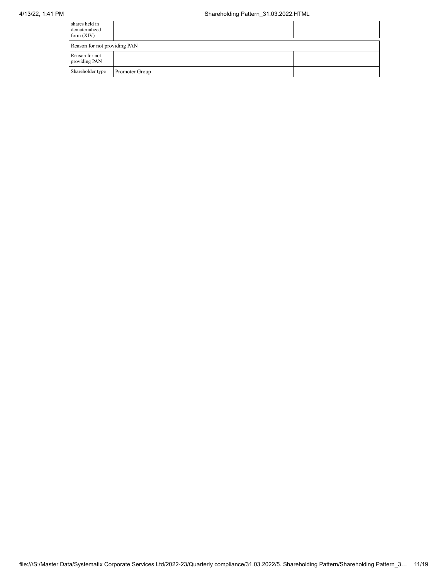| shares held in<br>dematerialized<br>form $(XIV)$ |                |  |
|--------------------------------------------------|----------------|--|
| Reason for not providing PAN                     |                |  |
| Reason for not<br>providing PAN                  |                |  |
| Shareholder type                                 | Promoter Group |  |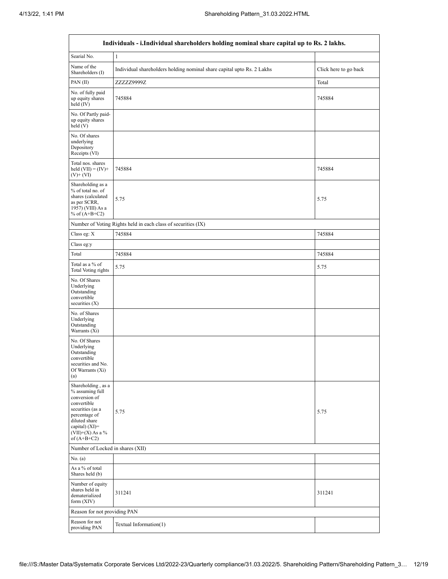'n

| Individuals - i.Individual shareholders holding nominal share capital up to Rs. 2 lakhs.                                                                                             |                                                                        |                       |  |  |  |  |  |
|--------------------------------------------------------------------------------------------------------------------------------------------------------------------------------------|------------------------------------------------------------------------|-----------------------|--|--|--|--|--|
| Searial No.                                                                                                                                                                          | $\mathbf{1}$                                                           |                       |  |  |  |  |  |
| Name of the<br>Shareholders (I)                                                                                                                                                      | Individual shareholders holding nominal share capital upto Rs. 2 Lakhs | Click here to go back |  |  |  |  |  |
| PAN (II)                                                                                                                                                                             | ZZZZZ9999Z                                                             | Total                 |  |  |  |  |  |
| No. of fully paid<br>up equity shares<br>held (IV)                                                                                                                                   | 745884                                                                 | 745884                |  |  |  |  |  |
| No. Of Partly paid-<br>up equity shares<br>held(V)                                                                                                                                   |                                                                        |                       |  |  |  |  |  |
| No. Of shares<br>underlying<br>Depository<br>Receipts (VI)                                                                                                                           |                                                                        |                       |  |  |  |  |  |
| Total nos. shares<br>held $(VII) = (IV) +$<br>$(V)$ + $(VI)$                                                                                                                         | 745884                                                                 | 745884                |  |  |  |  |  |
| Shareholding as a<br>% of total no. of<br>shares (calculated<br>as per SCRR,<br>1957) (VIII) As a<br>% of $(A+B+C2)$                                                                 | 5.75                                                                   | 5.75                  |  |  |  |  |  |
|                                                                                                                                                                                      | Number of Voting Rights held in each class of securities (IX)          |                       |  |  |  |  |  |
| Class eg: X                                                                                                                                                                          | 745884                                                                 | 745884                |  |  |  |  |  |
| Class eg:y                                                                                                                                                                           |                                                                        |                       |  |  |  |  |  |
| Total                                                                                                                                                                                | 745884                                                                 | 745884                |  |  |  |  |  |
| Total as a % of<br>Total Voting rights                                                                                                                                               | 5.75                                                                   | 5.75                  |  |  |  |  |  |
| No. Of Shares<br>Underlying<br>Outstanding<br>convertible<br>securities $(X)$                                                                                                        |                                                                        |                       |  |  |  |  |  |
| No. of Shares<br>Underlying<br>Outstanding<br>Warrants $(X_i)$                                                                                                                       |                                                                        |                       |  |  |  |  |  |
| No. Of Shares<br>Underlying<br>Outstanding<br>convertible<br>securities and No.<br>Of Warrants (Xi)<br>(a)                                                                           |                                                                        |                       |  |  |  |  |  |
| Shareholding, as a<br>% assuming full<br>conversion of<br>convertible<br>securities (as a<br>percentage of<br>diluted share<br>capital) (XI)=<br>$(VII)+(X)$ As a %<br>of $(A+B+C2)$ | 5.75                                                                   | 5.75                  |  |  |  |  |  |
| Number of Locked in shares (XII)                                                                                                                                                     |                                                                        |                       |  |  |  |  |  |
| No. (a)                                                                                                                                                                              |                                                                        |                       |  |  |  |  |  |
| As a % of total<br>Shares held (b)                                                                                                                                                   |                                                                        |                       |  |  |  |  |  |
| Number of equity<br>shares held in<br>dematerialized<br>form $(XIV)$                                                                                                                 | 311241                                                                 | 311241                |  |  |  |  |  |
| Reason for not providing PAN                                                                                                                                                         |                                                                        |                       |  |  |  |  |  |
| Reason for not<br>providing PAN                                                                                                                                                      | Textual Information(1)                                                 |                       |  |  |  |  |  |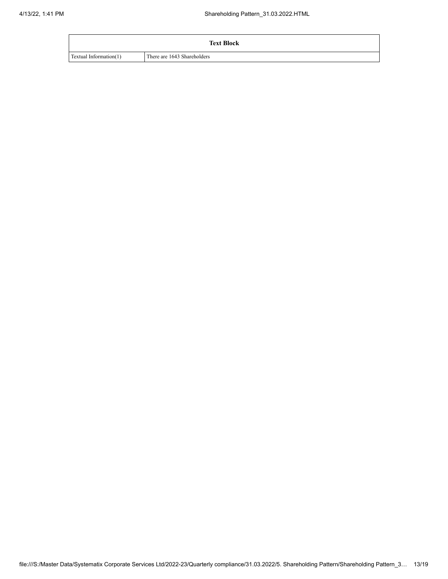| <b>Text Block</b>      |                             |  |  |  |  |
|------------------------|-----------------------------|--|--|--|--|
| Textual Information(1) | There are 1643 Shareholders |  |  |  |  |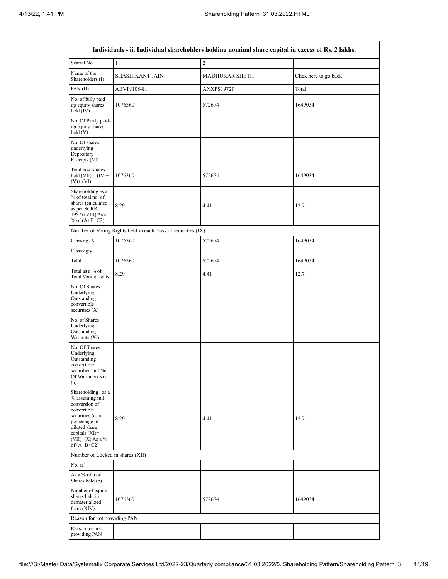| Individuals - ii. Individual shareholders holding nominal share capital in excess of Rs. 2 lakhs.                                                                                      |                                                               |                       |                       |  |  |  |  |  |  |
|----------------------------------------------------------------------------------------------------------------------------------------------------------------------------------------|---------------------------------------------------------------|-----------------------|-----------------------|--|--|--|--|--|--|
| Searial No.                                                                                                                                                                            | $\mathbf{1}$                                                  | $\sqrt{2}$            |                       |  |  |  |  |  |  |
| Name of the<br>Shareholders (I)                                                                                                                                                        | SHASHIKANT JAIN                                               | <b>MADHUKAR SHETH</b> | Click here to go back |  |  |  |  |  |  |
| PAN (II)                                                                                                                                                                               | ABVPJ1084H                                                    | Total                 |                       |  |  |  |  |  |  |
| No. of fully paid<br>up equity shares<br>held (IV)                                                                                                                                     | 1076360                                                       | 572674                | 1649034               |  |  |  |  |  |  |
| No. Of Partly paid-<br>up equity shares<br>held (V)                                                                                                                                    |                                                               |                       |                       |  |  |  |  |  |  |
| No. Of shares<br>underlying<br>Depository<br>Receipts (VI)                                                                                                                             |                                                               |                       |                       |  |  |  |  |  |  |
| Total nos. shares<br>held $(VII) = (IV) +$<br>$(V)$ + $(VI)$                                                                                                                           | 1076360                                                       | 572674                | 1649034               |  |  |  |  |  |  |
| Shareholding as a<br>% of total no. of<br>shares (calculated<br>as per SCRR,<br>1957) (VIII) As a<br>% of $(A+B+C2)$                                                                   | 8.29                                                          | 4.41                  | 12.7                  |  |  |  |  |  |  |
|                                                                                                                                                                                        | Number of Voting Rights held in each class of securities (IX) |                       |                       |  |  |  |  |  |  |
| Class eg: X                                                                                                                                                                            | 1076360                                                       | 572674                | 1649034               |  |  |  |  |  |  |
| Class eg:y                                                                                                                                                                             |                                                               |                       |                       |  |  |  |  |  |  |
| Total                                                                                                                                                                                  | 1076360                                                       | 572674                | 1649034               |  |  |  |  |  |  |
| Total as a % of<br>Total Voting rights                                                                                                                                                 | 8.29                                                          | 4.41                  | 12.7                  |  |  |  |  |  |  |
| No. Of Shares<br>Underlying<br>Outstanding<br>convertible<br>securities $(X)$                                                                                                          |                                                               |                       |                       |  |  |  |  |  |  |
| No. of Shares<br>Underlying<br>Outstanding<br>Warrants (Xi)                                                                                                                            |                                                               |                       |                       |  |  |  |  |  |  |
| No. Of Shares<br>Underlying<br>Outstanding<br>convertible<br>securities and No.<br>Of Warrants (Xi)<br>(a)                                                                             |                                                               |                       |                       |  |  |  |  |  |  |
| Shareholding, as a<br>% assuming full<br>conversion of<br>convertible<br>securities (as a<br>percentage of<br>diluted share<br>capital) $(XI)=$<br>$(VII)+(X)$ As a %<br>of $(A+B+C2)$ | 8.29                                                          | 4.41                  | 12.7                  |  |  |  |  |  |  |
| Number of Locked in shares (XII)                                                                                                                                                       |                                                               |                       |                       |  |  |  |  |  |  |
| No. (a)                                                                                                                                                                                |                                                               |                       |                       |  |  |  |  |  |  |
| As a % of total<br>Shares held (b)                                                                                                                                                     |                                                               |                       |                       |  |  |  |  |  |  |
| Number of equity<br>shares held in<br>dematerialized<br>form $(XIV)$                                                                                                                   | 1076360                                                       | 572674                | 1649034               |  |  |  |  |  |  |
| Reason for not providing PAN                                                                                                                                                           |                                                               |                       |                       |  |  |  |  |  |  |
| Reason for not<br>providing PAN                                                                                                                                                        |                                                               |                       |                       |  |  |  |  |  |  |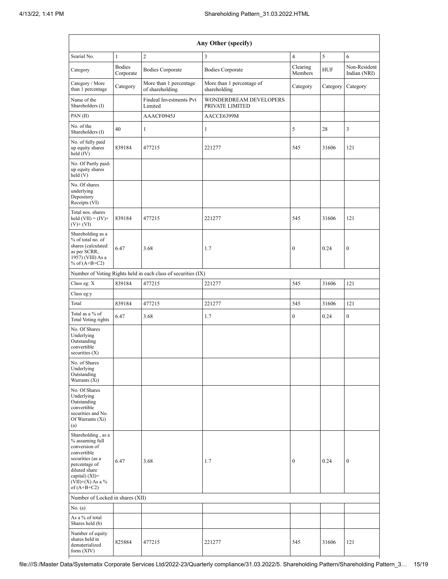| Any Other (specify)                                                                                                                  |                                    |                                                               |                                           |                                   |          |                              |  |  |  |  |
|--------------------------------------------------------------------------------------------------------------------------------------|------------------------------------|---------------------------------------------------------------|-------------------------------------------|-----------------------------------|----------|------------------------------|--|--|--|--|
| Searial No.                                                                                                                          | $\mathbf{1}$                       | $\overline{c}$                                                | 3                                         | $\overline{4}$                    | 5        | 6                            |  |  |  |  |
| Category                                                                                                                             | <b>Bodies</b><br>Corporate         | <b>Bodies Corporate</b>                                       | <b>Bodies Corporate</b>                   | Clearing<br><b>HUF</b><br>Members |          | Non-Resident<br>Indian (NRI) |  |  |  |  |
| Category / More<br>than 1 percentage                                                                                                 | Category                           | More than 1 percentage<br>of shareholding                     | More than 1 percentage of<br>shareholding | Category                          | Category | Category                     |  |  |  |  |
| Name of the<br>Shareholders (I)                                                                                                      | Findeal Investments Pvt<br>Limited |                                                               | WONDERDREAM DEVELOPERS<br>PRIVATE LIMITED |                                   |          |                              |  |  |  |  |
| PAN(II)                                                                                                                              |                                    | AAACF0945J                                                    | AACCE6399M                                |                                   |          |                              |  |  |  |  |
| No. of the<br>Shareholders (I)                                                                                                       | 40                                 | 1                                                             | 1                                         | 5                                 | 28       | 3                            |  |  |  |  |
| No. of fully paid<br>up equity shares<br>held (IV)                                                                                   | 839184                             | 477215                                                        | 221277                                    | 545                               | 31606    | 121                          |  |  |  |  |
| No. Of Partly paid-<br>up equity shares<br>held (V)                                                                                  |                                    |                                                               |                                           |                                   |          |                              |  |  |  |  |
| No. Of shares<br>underlying<br>Depository<br>Receipts (VI)                                                                           |                                    |                                                               |                                           |                                   |          |                              |  |  |  |  |
| Total nos. shares<br>held $(VII) = (IV) +$<br>$(V)$ + $(VI)$                                                                         | 839184                             | 477215                                                        | 221277                                    | 545                               | 31606    | 121                          |  |  |  |  |
| Shareholding as a<br>% of total no. of<br>shares (calculated<br>6.47<br>3.68<br>as per SCRR,<br>1957) (VIII) As a<br>% of $(A+B+C2)$ |                                    |                                                               | 1.7                                       | 0.24<br>$\boldsymbol{0}$          |          | $\boldsymbol{0}$             |  |  |  |  |
|                                                                                                                                      |                                    | Number of Voting Rights held in each class of securities (IX) |                                           |                                   |          |                              |  |  |  |  |
| Class eg: X                                                                                                                          | 839184                             | 477215                                                        | 221277                                    | 545                               | 31606    | 121                          |  |  |  |  |
| Class eg:y                                                                                                                           |                                    |                                                               |                                           |                                   |          |                              |  |  |  |  |
| Total                                                                                                                                | 839184                             | 477215                                                        | 221277                                    | 545                               | 31606    | 121                          |  |  |  |  |
| Total as a % of<br>6.47<br><b>Total Voting rights</b>                                                                                |                                    | 3.68                                                          | 1.7                                       | $\boldsymbol{0}$                  | 0.24     | $\boldsymbol{0}$             |  |  |  |  |
| No. Of Shares<br>Underlying<br>Outstanding<br>convertible<br>securities $(X)$                                                        |                                    |                                                               |                                           |                                   |          |                              |  |  |  |  |
| No. of Shares<br>Underlying<br>Outstanding<br>Warrants $(X_i)$                                                                       |                                    |                                                               |                                           |                                   |          |                              |  |  |  |  |
| No. Of Shares<br>Underlying<br>Outstanding<br>convertible<br>securities and No.<br>Of Warrants (Xi)<br>(a)                           |                                    |                                                               |                                           |                                   |          |                              |  |  |  |  |
| Shareholding, as a<br>% assuming full<br>conversion of<br>convertible<br>securities (as a                                            |                                    |                                                               |                                           |                                   |          |                              |  |  |  |  |
| percentage of<br>diluted share<br>capital) $(XI)=$<br>$(VII)+(X)$ As a %<br>of $(A+B+C2)$                                            | 6.47                               | 3.68                                                          | 1.7                                       | $\boldsymbol{0}$                  | 0.24     | $\boldsymbol{0}$             |  |  |  |  |
| Number of Locked in shares (XII)                                                                                                     |                                    |                                                               |                                           |                                   |          |                              |  |  |  |  |
| No. (a)                                                                                                                              |                                    |                                                               |                                           |                                   |          |                              |  |  |  |  |
| As a % of total<br>Shares held (b)                                                                                                   |                                    |                                                               |                                           |                                   |          |                              |  |  |  |  |
| Number of equity<br>shares held in<br>dematerialized<br>form $(XIV)$                                                                 | 825884                             | 477215                                                        | 221277                                    | 545                               | 31606    | 121                          |  |  |  |  |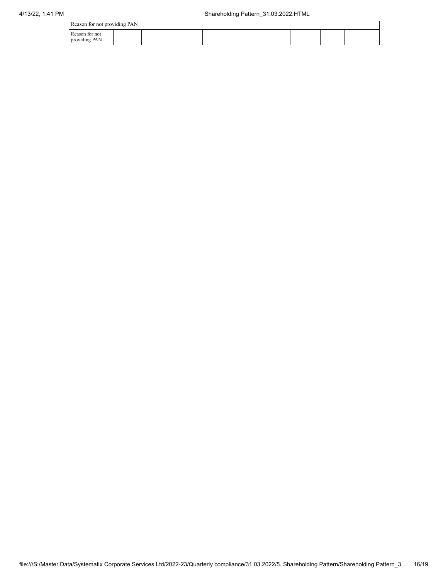Reason for not providing PAN

| Reason for not providing PAN    |  |  |  |  |  |  |  |  |  |
|---------------------------------|--|--|--|--|--|--|--|--|--|
| Reason for not<br>providing PAN |  |  |  |  |  |  |  |  |  |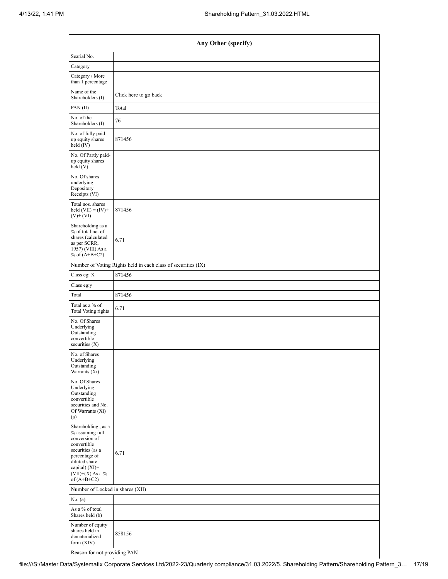|                                                                                                                                                                                      | Any Other (specify)                                           |  |  |  |  |  |  |
|--------------------------------------------------------------------------------------------------------------------------------------------------------------------------------------|---------------------------------------------------------------|--|--|--|--|--|--|
| Searial No.                                                                                                                                                                          |                                                               |  |  |  |  |  |  |
| Category                                                                                                                                                                             |                                                               |  |  |  |  |  |  |
| Category / More<br>than 1 percentage                                                                                                                                                 |                                                               |  |  |  |  |  |  |
| Name of the<br>Shareholders (I)                                                                                                                                                      | Click here to go back                                         |  |  |  |  |  |  |
| PAN (II)                                                                                                                                                                             | Total                                                         |  |  |  |  |  |  |
| No. of the<br>Shareholders (I)                                                                                                                                                       | 76                                                            |  |  |  |  |  |  |
| No. of fully paid<br>up equity shares<br>held (IV)                                                                                                                                   | 871456                                                        |  |  |  |  |  |  |
| No. Of Partly paid-<br>up equity shares<br>held(V)                                                                                                                                   |                                                               |  |  |  |  |  |  |
| No. Of shares<br>underlying<br>Depository<br>Receipts (VI)                                                                                                                           |                                                               |  |  |  |  |  |  |
| Total nos. shares<br>held $(VII) = (IV) +$<br>$(V)$ + $(VI)$                                                                                                                         | 871456                                                        |  |  |  |  |  |  |
| Shareholding as a<br>% of total no. of<br>shares (calculated<br>as per SCRR,<br>1957) (VIII) As a<br>% of $(A+B+C2)$                                                                 | 6.71                                                          |  |  |  |  |  |  |
|                                                                                                                                                                                      | Number of Voting Rights held in each class of securities (IX) |  |  |  |  |  |  |
| Class eg: X                                                                                                                                                                          | 871456                                                        |  |  |  |  |  |  |
| Class eg:y                                                                                                                                                                           |                                                               |  |  |  |  |  |  |
| Total                                                                                                                                                                                | 871456                                                        |  |  |  |  |  |  |
| Total as a % of<br><b>Total Voting rights</b>                                                                                                                                        | 6.71                                                          |  |  |  |  |  |  |
| No. Of Shares<br>Underlying<br>Outstanding<br>convertible<br>securities $(X)$                                                                                                        |                                                               |  |  |  |  |  |  |
| No. of Shares<br>Underlying<br>Outstanding<br>Warrants (Xi)                                                                                                                          |                                                               |  |  |  |  |  |  |
| No. Of Shares<br>Underlying<br>Outstanding<br>convertible<br>securities and No.<br>Of Warrants (Xi)<br>(a)                                                                           |                                                               |  |  |  |  |  |  |
| Shareholding, as a<br>% assuming full<br>conversion of<br>convertible<br>securities (as a<br>percentage of<br>diluted share<br>capital) (XI)=<br>$(VII)+(X)$ As a %<br>of $(A+B+C2)$ | 6.71                                                          |  |  |  |  |  |  |
| Number of Locked in shares (XII)                                                                                                                                                     |                                                               |  |  |  |  |  |  |
| No. (a)                                                                                                                                                                              |                                                               |  |  |  |  |  |  |
| As a % of total<br>Shares held (b)                                                                                                                                                   |                                                               |  |  |  |  |  |  |
| Number of equity<br>shares held in<br>dematerialized<br>form (XIV)                                                                                                                   | 858156                                                        |  |  |  |  |  |  |
| Reason for not providing PAN                                                                                                                                                         |                                                               |  |  |  |  |  |  |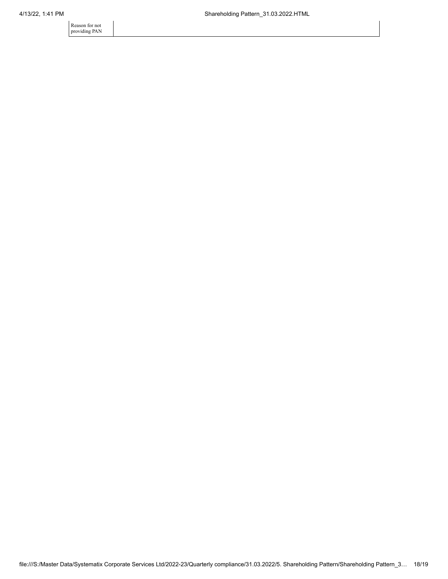Reason for not providing PAN